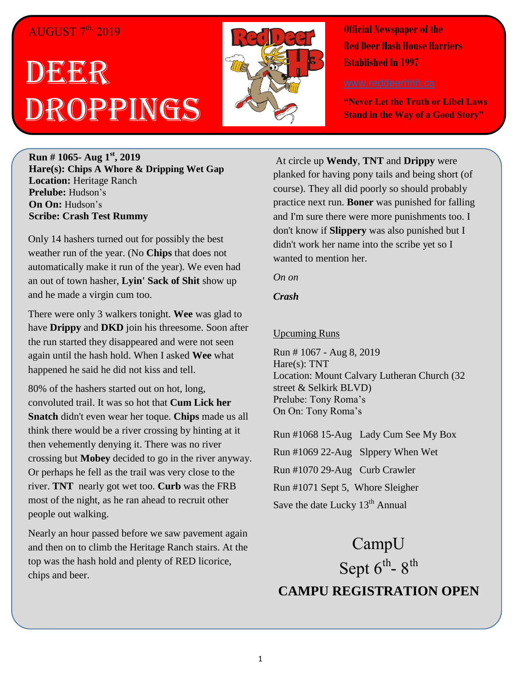## $\rm{AUGUST}$   $7^{\rm{th}}$ ,  $2019$

## DEER Droppings



**Official Newspaper of the Red Deer Hash House Harriers Established In 1997** 

**"Never Let the Truth or Libel Laws Stand in the Way of a Good Story"**

**Run # 1065- Aug 1st , 2019 Hare(s): Chips A Whore & Dripping Wet Gap Location:** Heritage Ranch **Prelube:** Hudson's **On On:** Hudson's **Scribe: Crash Test Rummy**

Only 14 hashers turned out for possibly the best weather run of the year. (No **Chips** that does not automatically make it run of the year). We even had an out of town hasher, **Lyin' Sack of Shit** show up and he made a virgin cum too.

There were only 3 walkers tonight. **Wee** was glad to have **Drippy** and **DKD** join his threesome. Soon after the run started they disappeared and were not seen again until the hash hold. When I asked **Wee** what happened he said he did not kiss and tell.

80% of the hashers started out on hot, long, convoluted trail. It was so hot that **Cum Lick her Snatch** didn't even wear her toque. **Chips** made us all think there would be a river crossing by hinting at it then vehemently denying it. There was no river crossing but **Mobey** decided to go in the river anyway. Or perhaps he fell as the trail was very close to the river. **TNT** nearly got wet too. **Curb** was the FRB most of the night, as he ran ahead to recruit other people out walking.

Nearly an hour passed before we saw pavement again and then on to climb the Heritage Ranch stairs. At the top was the hash hold and plenty of RED licorice, chips and beer.

At circle up **Wendy**, **TNT** and **Drippy** were planked for having pony tails and being short (of course). They all did poorly so should probably practice next run. **Boner** was punished for falling and I'm sure there were more punishments too. I don't know if **Slippery** was also punished but I didn't work her name into the scribe yet so I wanted to mention her.

*On on*

*Crash*

## Upcuming Runs

Run # 1067 - Aug 8, 2019 Hare(s): TNT Location: Mount Calvary Lutheran Church (32 street & Selkirk BLVD) Prelube: Tony Roma's On On: Tony Roma's

Run #1068 15-Aug Lady Cum See My Box Run #1069 22-Aug Slppery When Wet Run #1070 29-Aug Curb Crawler Run #1071 Sept 5, Whore Sleigher Save the date Lucky 13<sup>th</sup> Annual

CampU Sept  $6^{\text{th}}$ -  $8^{\text{th}}$ **CAMPU REGISTRATION OPEN**